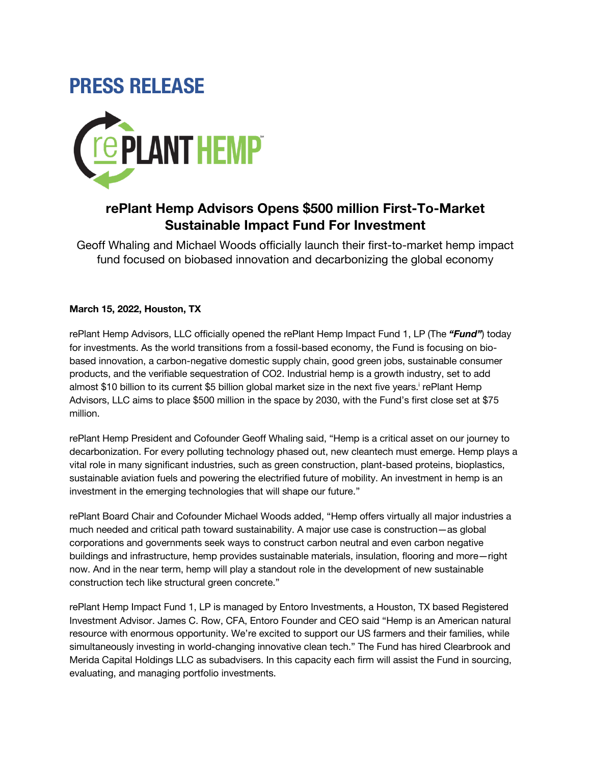# **PRESS RELEASE**



## **rePlant Hemp Advisors Opens \$500 million First-To-Market Sustainable Impact Fund For Investment**

Geoff Whaling and Michael Woods officially launch their first-to-market hemp impact fund focused on biobased innovation and decarbonizing the global economy

### **March 15, 2022, Houston, TX**

rePlant Hemp Advisors, LLC officially opened the rePlant Hemp Impact Fund 1, LP (The *"Fund"*) today for investments. As the world transitions from a fossil-based economy, the Fund is focusing on biobased innovation, a carbon-negative domestic supply chain, good green jobs, sustainable consumer products, and the verifiable sequestration of CO2. Industrial hemp is a growth industry, set to add almost \$10 billion to its current \$5 billion global market size in the next five years. rePlant Hemp Advisors, LLC aims to place \$500 million in the space by 2030, with the Fund's first close set at \$75 million.

rePlant Hemp President and Cofounder Geoff Whaling said, "Hemp is a critical asset on our journey to decarbonization. For every polluting technology phased out, new cleantech must emerge. Hemp plays a vital role in many significant industries, such as green construction, plant-based proteins, bioplastics, sustainable aviation fuels and powering the electrified future of mobility. An investment in hemp is an investment in the emerging technologies that will shape our future."

rePlant Board Chair and Cofounder Michael Woods added, "Hemp offers virtually all major industries a much needed and critical path toward sustainability. A major use case is construction—as global corporations and governments seek ways to construct carbon neutral and even carbon negative buildings and infrastructure, hemp provides sustainable materials, insulation, flooring and more—right now. And in the near term, hemp will play a standout role in the development of new sustainable construction tech like structural green concrete."

rePlant Hemp Impact Fund 1, LP is managed by Entoro Investments, a Houston, TX based Registered Investment Advisor. James C. Row, CFA, Entoro Founder and CEO said "Hemp is an American natural resource with enormous opportunity. We're excited to support our US farmers and their families, while simultaneously investing in world-changing innovative clean tech." The Fund has hired Clearbrook and Merida Capital Holdings LLC as subadvisers. In this capacity each firm will assist the Fund in sourcing, evaluating, and managing portfolio investments.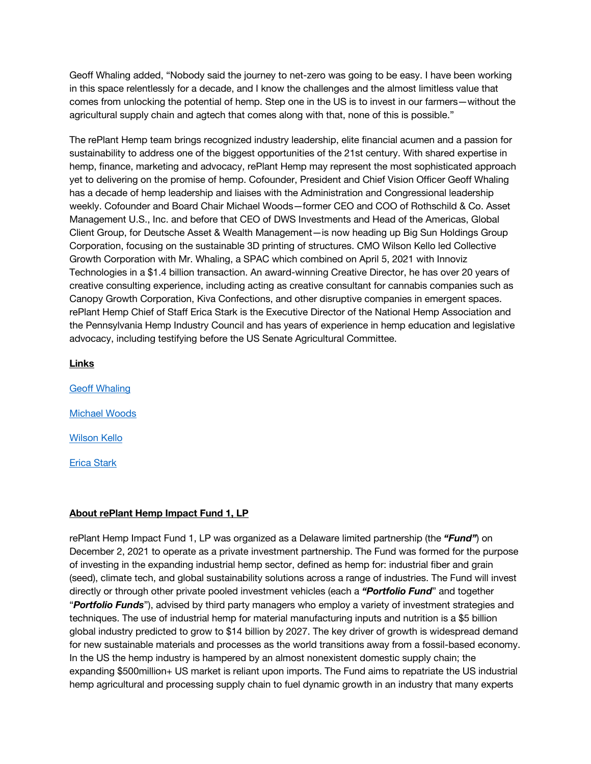Geoff Whaling added, "Nobody said the journey to net-zero was going to be easy. I have been working in this space relentlessly for a decade, and I know the challenges and the almost limitless value that comes from unlocking the potential of hemp. Step one in the US is to invest in our farmers—without the agricultural supply chain and agtech that comes along with that, none of this is possible."

The rePlant Hemp team brings recognized industry leadership, elite financial acumen and a passion for sustainability to address one of the biggest opportunities of the 21st century. With shared expertise in hemp, finance, marketing and advocacy, rePlant Hemp may represent the most sophisticated approach yet to delivering on the promise of hemp. Cofounder, President and Chief Vision Officer Geoff Whaling has a decade of hemp leadership and liaises with the Administration and Congressional leadership weekly. Cofounder and Board Chair Michael Woods—former CEO and COO of Rothschild & Co. Asset Management U.S., Inc. and before that CEO of DWS Investments and Head of the Americas, Global Client Group, for Deutsche Asset & Wealth Management—is now heading up Big Sun Holdings Group Corporation, focusing on the sustainable 3D printing of structures. CMO Wilson Kello led Collective Growth Corporation with Mr. Whaling, a SPAC which combined on April 5, 2021 with Innoviz Technologies in a \$1.4 billion transaction. An award-winning Creative Director, he has over 20 years of creative consulting experience, including acting as creative consultant for cannabis companies such as Canopy Growth Corporation, Kiva Confections, and other disruptive companies in emergent spaces. rePlant Hemp Chief of Staff Erica Stark is the Executive Director of the National Hemp Association and the Pennsylvania Hemp Industry Council and has years of experience in hemp education and legislative advocacy, including testifying before the US Senate Agricultural Committee.

#### **Links**

Geoff Whaling Michael Woods Wilson Kello Erica Stark

#### **About rePlant Hemp Impact Fund 1, LP**

rePlant Hemp Impact Fund 1, LP was organized as a Delaware limited partnership (the *"Fund"*) on December 2, 2021 to operate as a private investment partnership. The Fund was formed for the purpose of investing in the expanding industrial hemp sector, defined as hemp for: industrial fiber and grain (seed), climate tech, and global sustainability solutions across a range of industries. The Fund will invest directly or through other private pooled investment vehicles (each a *"Portfolio Fund*" and together "*Portfolio Funds*"), advised by third party managers who employ a variety of investment strategies and techniques. The use of industrial hemp for material manufacturing inputs and nutrition is a \$5 billion global industry predicted to grow to \$14 billion by 2027. The key driver of growth is widespread demand for new sustainable materials and processes as the world transitions away from a fossil-based economy. In the US the hemp industry is hampered by an almost nonexistent domestic supply chain; the expanding \$500million+ US market is reliant upon imports. The Fund aims to repatriate the US industrial hemp agricultural and processing supply chain to fuel dynamic growth in an industry that many experts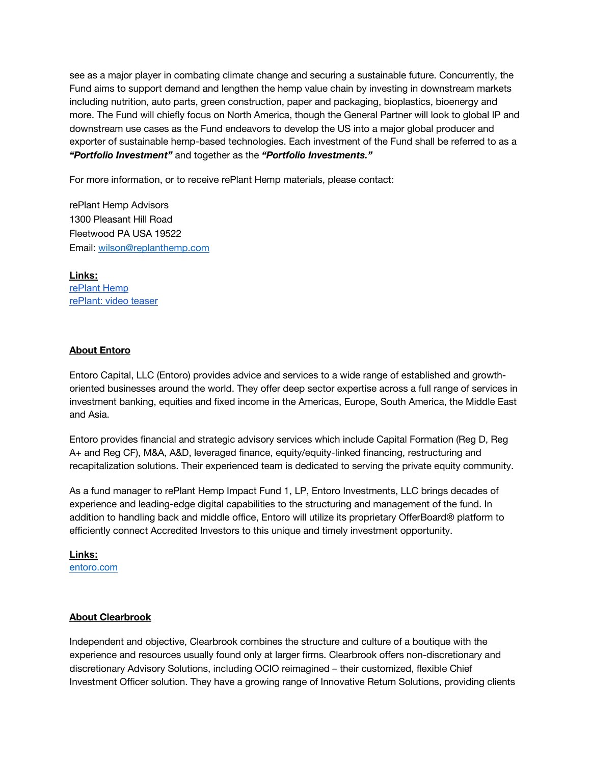see as a major player in combating climate change and securing a sustainable future. Concurrently, the Fund aims to support demand and lengthen the hemp value chain by investing in downstream markets including nutrition, auto parts, green construction, paper and packaging, bioplastics, bioenergy and more. The Fund will chiefly focus on North America, though the General Partner will look to global IP and downstream use cases as the Fund endeavors to develop the US into a major global producer and exporter of sustainable hemp-based technologies. Each investment of the Fund shall be referred to as a *"Portfolio Investment"* and together as the *"Portfolio Investments."*

For more information, or to receive rePlant Hemp materials, please contact:

rePlant Hemp Advisors 1300 Pleasant Hill Road Fleetwood PA USA 19522 Email: wilson@replanthemp.com

**Links:**  rePlant Hemp rePlant: video teaser

#### **About Entoro**

Entoro Capital, LLC (Entoro) provides advice and services to a wide range of established and growthoriented businesses around the world. They offer deep sector expertise across a full range of services in investment banking, equities and fixed income in the Americas, Europe, South America, the Middle East and Asia.

Entoro provides financial and strategic advisory services which include Capital Formation (Reg D, Reg A+ and Reg CF), M&A, A&D, leveraged finance, equity/equity-linked financing, restructuring and recapitalization solutions. Their experienced team is dedicated to serving the private equity community.

As a fund manager to rePlant Hemp Impact Fund 1, LP, Entoro Investments, LLC brings decades of experience and leading-edge digital capabilities to the structuring and management of the fund. In addition to handling back and middle office, Entoro will utilize its proprietary OfferBoard® platform to efficiently connect Accredited Investors to this unique and timely investment opportunity.

**Links:** entoro.com

#### **About Clearbrook**

Independent and objective, Clearbrook combines the structure and culture of a boutique with the experience and resources usually found only at larger firms. Clearbrook offers non-discretionary and discretionary Advisory Solutions, including OCIO reimagined – their customized, flexible Chief Investment Officer solution. They have a growing range of Innovative Return Solutions, providing clients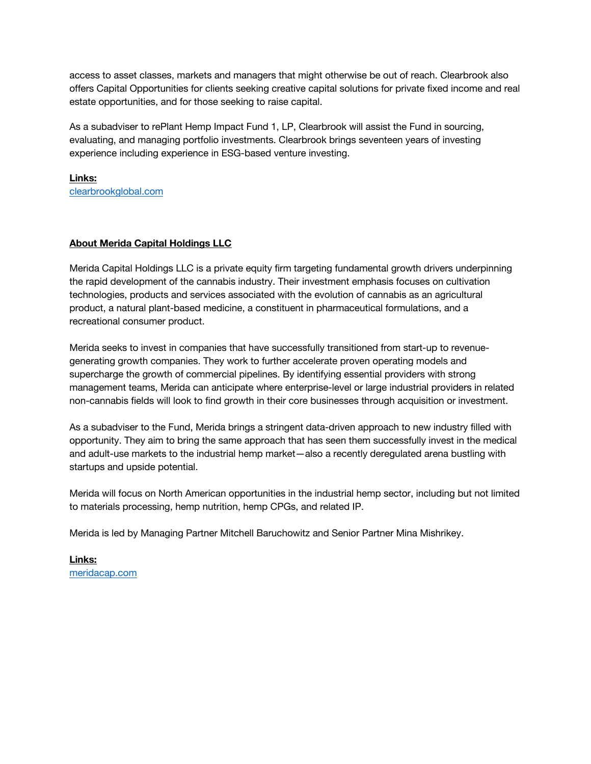access to asset classes, markets and managers that might otherwise be out of reach. Clearbrook also offers Capital Opportunities for clients seeking creative capital solutions for private fixed income and real estate opportunities, and for those seeking to raise capital.

As a subadviser to rePlant Hemp Impact Fund 1, LP, Clearbrook will assist the Fund in sourcing, evaluating, and managing portfolio investments. Clearbrook brings seventeen years of investing experience including experience in ESG-based venture investing.

**Links:**  clearbrookglobal.com

#### **About Merida Capital Holdings LLC**

Merida Capital Holdings LLC is a private equity firm targeting fundamental growth drivers underpinning the rapid development of the cannabis industry. Their investment emphasis focuses on cultivation technologies, products and services associated with the evolution of cannabis as an agricultural product, a natural plant-based medicine, a constituent in pharmaceutical formulations, and a recreational consumer product.

Merida seeks to invest in companies that have successfully transitioned from start-up to revenuegenerating growth companies. They work to further accelerate proven operating models and supercharge the growth of commercial pipelines. By identifying essential providers with strong management teams, Merida can anticipate where enterprise-level or large industrial providers in related non-cannabis fields will look to find growth in their core businesses through acquisition or investment.

As a subadviser to the Fund, Merida brings a stringent data-driven approach to new industry filled with opportunity. They aim to bring the same approach that has seen them successfully invest in the medical and adult-use markets to the industrial hemp market—also a recently deregulated arena bustling with startups and upside potential.

Merida will focus on North American opportunities in the industrial hemp sector, including but not limited to materials processing, hemp nutrition, hemp CPGs, and related IP.

Merida is led by Managing Partner Mitchell Baruchowitz and Senior Partner Mina Mishrikey.

**Links:**  meridacap.com